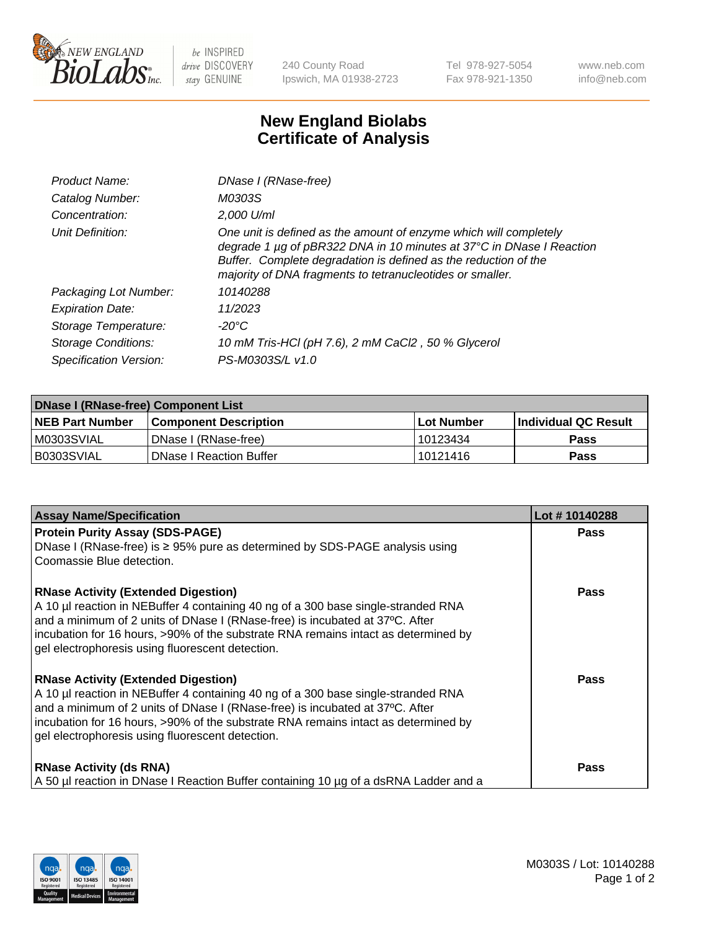

 $be$  INSPIRED drive DISCOVERY stay GENUINE

240 County Road Ipswich, MA 01938-2723 Tel 978-927-5054 Fax 978-921-1350 www.neb.com info@neb.com

## **New England Biolabs Certificate of Analysis**

| Product Name:              | DNase I (RNase-free)                                                                                                                                                                                                                                                      |
|----------------------------|---------------------------------------------------------------------------------------------------------------------------------------------------------------------------------------------------------------------------------------------------------------------------|
| Catalog Number:            | M0303S                                                                                                                                                                                                                                                                    |
| Concentration:             | 2,000 U/ml                                                                                                                                                                                                                                                                |
| Unit Definition:           | One unit is defined as the amount of enzyme which will completely<br>degrade 1 µg of pBR322 DNA in 10 minutes at 37°C in DNase I Reaction<br>Buffer. Complete degradation is defined as the reduction of the<br>majority of DNA fragments to tetranucleotides or smaller. |
| Packaging Lot Number:      | 10140288                                                                                                                                                                                                                                                                  |
| <b>Expiration Date:</b>    | 11/2023                                                                                                                                                                                                                                                                   |
| Storage Temperature:       | -20°C                                                                                                                                                                                                                                                                     |
| <b>Storage Conditions:</b> | 10 mM Tris-HCl (pH 7.6), 2 mM CaCl2, 50 % Glycerol                                                                                                                                                                                                                        |
| Specification Version:     | PS-M0303S/L v1.0                                                                                                                                                                                                                                                          |

| DNase I (RNase-free) Component List |                                |              |                             |  |  |
|-------------------------------------|--------------------------------|--------------|-----------------------------|--|--|
| <b>NEB Part Number</b>              | <b>Component Description</b>   | l Lot Number | <b>Individual QC Result</b> |  |  |
| M0303SVIAL                          | DNase I (RNase-free)           | 10123434     | <b>Pass</b>                 |  |  |
| B0303SVIAL                          | <b>DNase I Reaction Buffer</b> | 10121416     | <b>Pass</b>                 |  |  |

| <b>Assay Name/Specification</b>                                                                                                                                                                                                                                                                                                                           | Lot #10140288 |
|-----------------------------------------------------------------------------------------------------------------------------------------------------------------------------------------------------------------------------------------------------------------------------------------------------------------------------------------------------------|---------------|
| <b>Protein Purity Assay (SDS-PAGE)</b>                                                                                                                                                                                                                                                                                                                    | <b>Pass</b>   |
| DNase I (RNase-free) is $\geq 95\%$ pure as determined by SDS-PAGE analysis using<br>Coomassie Blue detection.                                                                                                                                                                                                                                            |               |
| <b>RNase Activity (Extended Digestion)</b><br>A 10 µl reaction in NEBuffer 4 containing 40 ng of a 300 base single-stranded RNA<br>and a minimum of 2 units of DNase I (RNase-free) is incubated at 37°C. After<br>incubation for 16 hours, >90% of the substrate RNA remains intact as determined by<br>gel electrophoresis using fluorescent detection. | <b>Pass</b>   |
| <b>RNase Activity (Extended Digestion)</b><br>A 10 µl reaction in NEBuffer 4 containing 40 ng of a 300 base single-stranded RNA<br>and a minimum of 2 units of DNase I (RNase-free) is incubated at 37°C. After<br>incubation for 16 hours, >90% of the substrate RNA remains intact as determined by<br>gel electrophoresis using fluorescent detection. | <b>Pass</b>   |
| <b>RNase Activity (ds RNA)</b><br>A 50 µl reaction in DNase I Reaction Buffer containing 10 µg of a dsRNA Ladder and a                                                                                                                                                                                                                                    | Pass          |